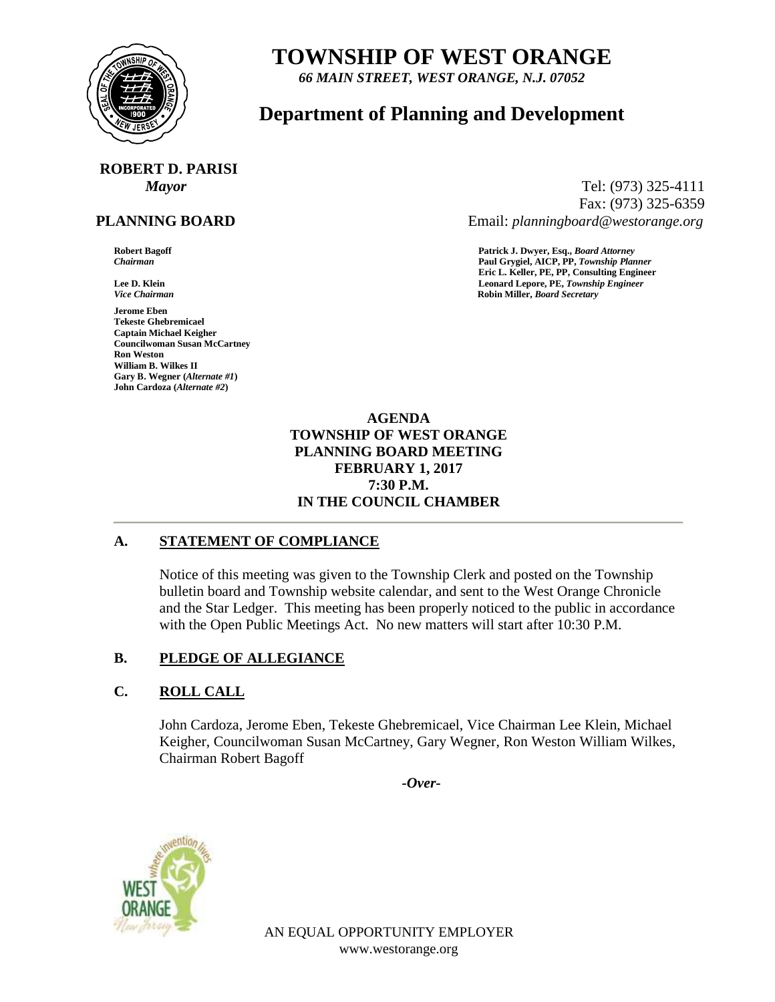

# **TOWNSHIP OF WEST ORANGE**

*66 MAIN STREET, WEST ORANGE, N.J. 07052*

# **Department of Planning and Development**

# **ROBERT D. PARISI**

# **PLANNING BOARD**

**Jerome Eben Tekeste Ghebremicael Captain Michael Keigher Councilwoman Susan McCartney Ron Weston William B. Wilkes II Gary B. Wegner (***Alternate #1***) John Cardoza (***Alternate #2***)**

*Mayor* Tel: (973) 325-4111 Fax: (973) 325-6359 Email: *planningboard@westorange.org*

**Robert Bagoff Patrick J. Dwyer, Esq.,** *Board Attorney Chairman* **Paul Grygiel, AICP, PP,** *Township Planner* **Eric L. Keller, PE, PP, Consulting Engineer Lee D. Klein Leonard Lepore, PE,** *Township Engineer Vice Chairman* **Robin Miller,** *Board Secretary*

> **AGENDA TOWNSHIP OF WEST ORANGE PLANNING BOARD MEETING FEBRUARY 1, 2017 7:30 P.M. IN THE COUNCIL CHAMBER**

## **A. STATEMENT OF COMPLIANCE**

Notice of this meeting was given to the Township Clerk and posted on the Township bulletin board and Township website calendar, and sent to the West Orange Chronicle and the Star Ledger. This meeting has been properly noticed to the public in accordance with the Open Public Meetings Act. No new matters will start after 10:30 P.M.

## **B. PLEDGE OF ALLEGIANCE**

## **C. ROLL CALL**

John Cardoza, Jerome Eben, Tekeste Ghebremicael, Vice Chairman Lee Klein, Michael Keigher, Councilwoman Susan McCartney, Gary Wegner, Ron Weston William Wilkes, Chairman Robert Bagoff

*-Over-*